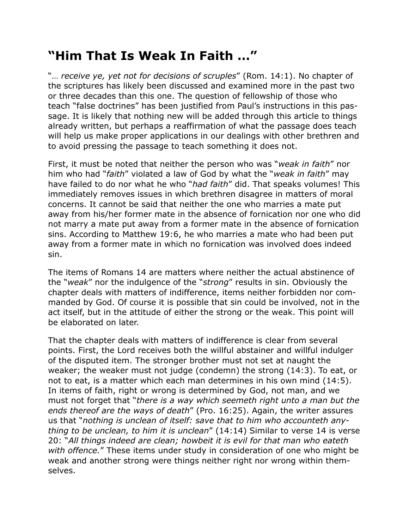## **"Him That Is Weak In Faith …"**

"… *receive ye, yet not for decisions of scruples*" (Rom. 14:1). No chapter of the scriptures has likely been discussed and examined more in the past two or three decades than this one. The question of fellowship of those who teach "false doctrines" has been justified from Paul's instructions in this passage. It is likely that nothing new will be added through this article to things already written, but perhaps a reaffirmation of what the passage does teach will help us make proper applications in our dealings with other brethren and to avoid pressing the passage to teach something it does not.

First, it must be noted that neither the person who was "*weak in faith*" nor him who had "*faith*" violated a law of God by what the "*weak in faith*" may have failed to do nor what he who "*had faith*" did. That speaks volumes! This immediately removes issues in which brethren disagree in matters of moral concerns. It cannot be said that neither the one who marries a mate put away from his/her former mate in the absence of fornication nor one who did not marry a mate put away from a former mate in the absence of fornication sins. According to Matthew 19:6, he who marries a mate who had been put away from a former mate in which no fornication was involved does indeed sin.

The items of Romans 14 are matters where neither the actual abstinence of the "*weak*" nor the indulgence of the "*strong*" results in sin. Obviously the chapter deals with matters of indifference, items neither forbidden nor commanded by God. Of course it is possible that sin could be involved, not in the act itself, but in the attitude of either the strong or the weak. This point will be elaborated on later.

That the chapter deals with matters of indifference is clear from several points. First, the Lord receives both the willful abstainer and willful indulger of the disputed item. The stronger brother must not set at naught the weaker; the weaker must not judge (condemn) the strong (14:3). To eat, or not to eat, is a matter which each man determines in his own mind (14:5). In items of faith, right or wrong is determined by God, not man, and we must not forget that "*there is a way which seemeth right unto a man but the ends thereof are the ways of death*" (Pro. 16:25). Again, the writer assures us that "*nothing is unclean of itself: save that to him who accounteth anything to be unclean, to him it is unclean*" (14:14) Similar to verse 14 is verse 20: "*All things indeed are clean; howbeit it is evil for that man who eateth with offence.*" These items under study in consideration of one who might be weak and another strong were things neither right nor wrong within themselves.